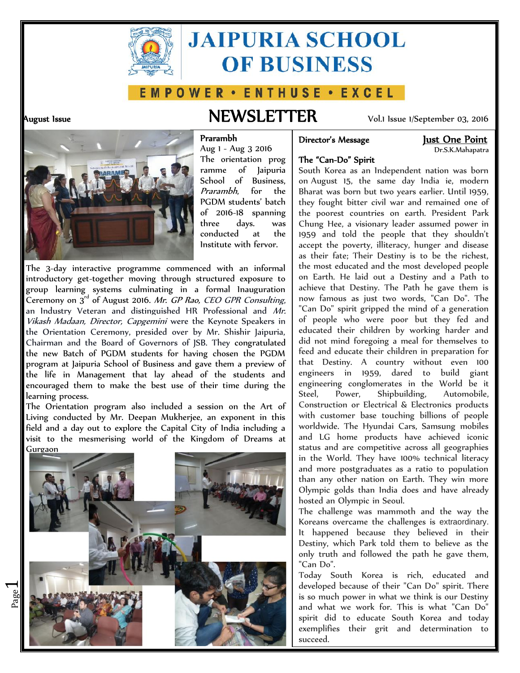

# **JAIPURIA SCHOOL OF BUSINESS**

### E M P O W E R · E N T H U S E · E X C E L

 $\overline{\phantom{0}}$ 

## **August Issue NEWSLETTER** Vol.1 Issue 1/September 03, 2016

#### **Director's Message Just One Point**

Dr.S.K.Mahapatra



Aug 1 - Aug 3 2016 The orientation prog ramme of Jaipuria School of Business, *Prarambh*, for the PGDM students' batch of 2016-18 spanning three days. was conducted at the Institute with fervor.

**Prarambh**

The 3-day interactive programme commenced with an informal introductory get-together moving through structured exposure to group learning systems culminating in a formal Inauguration Ceremony on 3rd of August 2016. *Mr*. *GP Rao, CEO GPR Consulting*, an Industry Veteran and distinguished HR Professional and *Mr. Vikash Madaan, Director, Capgemini* were the Keynote Speakers in the Orientation Ceremony, presided over by Mr. Shishir Jaipuria, Chairman and the Board of Governors of JSB. They congratulated the new Batch of PGDM students for having chosen the PGDM program at Jaipuria School of Business and gave them a preview of the life in Management that lay ahead of the students and encouraged them to make the best use of their time during the learning process.

The Orientation program also included a session on the Art of Living conducted by Mr. Deepan Mukherjee, an exponent in this field and a day out to explore the Capital City of India including a visit to the mesmerising world of the Kingdom of Dreams at Gurgaon



**The "Can-Do" Spirit** South Korea as an Independent nation was born on August 15, the same day India ie, modern Bharat was born but two years earlier. Until 1959, they fought bitter civil war and remained one of the poorest countries on earth. President Park Chung Hee, a visionary leader assumed power in 1959 and told the people that they shouldn't accept the poverty, illiteracy, hunger and disease

as their fate; Their Destiny is to be the richest, the most educated and the most developed people on Earth. He laid out a Destiny and a Path to achieve that Destiny. The Path he gave them is now famous as just two words, "Can Do". The "Can Do" spirit gripped the mind of a generation of people who were poor but they fed and educated their children by working harder and did not mind foregoing a meal for themselves to feed and educate their children in preparation for that Destiny. A country without even 100 engineers in 1959, dared to build giant engineering conglomerates in the World be it<br>Steel, Power, Shipbuilding, Automobile. Power, Shipbuilding, Automobile, Construction or Electrical & Electronics products with customer base touching billions of people worldwide. The Hyundai Cars, Samsung mobiles and LG home products have achieved iconic status and are competitive across all geographies in the World. They have 100% technical literacy and more postgraduates as a ratio to population than any other nation on Earth. They win more Olympic golds than India does and have already hosted an Olympic in Seoul.

The challenge was mammoth and the way the Koreans overcame the challenges is extraordinary. It happened because they believed in their Destiny, which Park told them to believe as the only truth and followed the path he gave them, "Can Do".

Today South Korea is rich, educated and developed because of their "Can Do" spirit. There is so much power in what we think is our Destiny and what we work for. This is what "Can Do" spirit did to educate South Korea and today exemplifies their grit and determination to succeed.